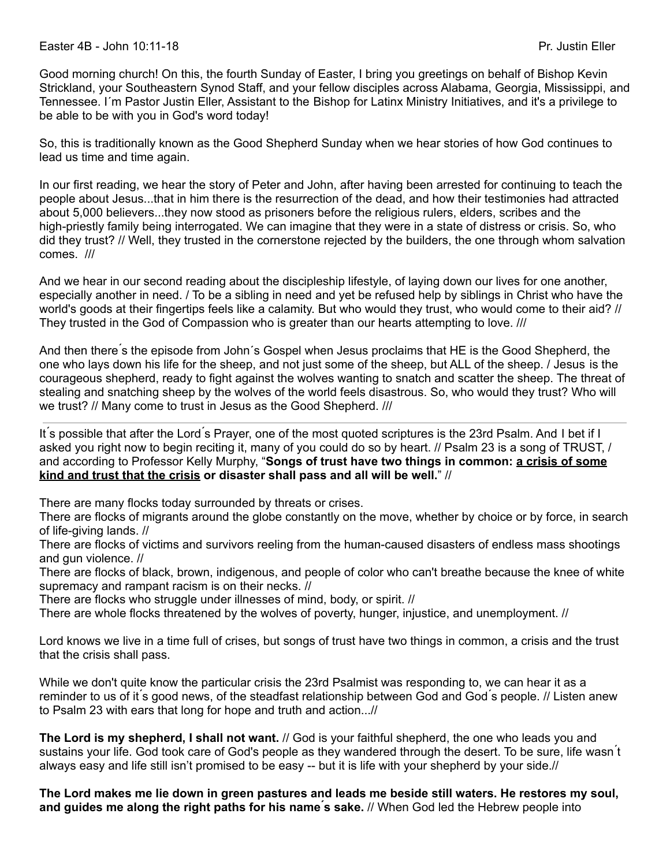Good morning church! On this, the fourth Sunday of Easter, I bring you greetings on behalf of Bishop Kevin Strickland, your Southeastern Synod Staff, and your fellow disciples across Alabama, Georgia, Mississippi, and Tennessee. I´m Pastor Justin Eller, Assistant to the Bishop for Latinx Ministry Initiatives, and it's a privilege to be able to be with you in God's word today!

So, this is traditionally known as the Good Shepherd Sunday when we hear stories of how God continues to lead us time and time again.

In our first reading, we hear the story of Peter and John, after having been arrested for continuing to teach the people about Jesus...that in him there is the resurrection of the dead, and how their testimonies had attracted about 5,000 believers...they now stood as prisoners before the religious rulers, elders, scribes and the high-priestly family being interrogated. We can imagine that they were in a state of distress or crisis. So, who did they trust? // Well, they trusted in the cornerstone rejected by the builders, the one through whom salvation comes. ///

And we hear in our second reading about the discipleship lifestyle, of laying down our lives for one another, especially another in need. / To be a sibling in need and yet be refused help by siblings in Christ who have the world's goods at their fingertips feels like a calamity. But who would they trust, who would come to their aid? // They trusted in the God of Compassion who is greater than our hearts attempting to love. ///

And then there ́s the episode from John´s Gospel when Jesus proclaims that HE is the Good Shepherd, the one who lays down his life for the sheep, and not just some of the sheep, but ALL of the sheep. / Jesus is the courageous shepherd, ready to fight against the wolves wanting to snatch and scatter the sheep. The threat of stealing and snatching sheep by the wolves of the world feels disastrous. So, who would they trust? Who will we trust? // Many come to trust in Jesus as the Good Shepherd. ///

It ́s possible that after the Lord ́s Prayer, one of the most quoted scriptures is the 23rd Psalm. And I bet if I asked you right now to begin reciting it, many of you could do so by heart. // Psalm 23 is a song of TRUST, / and according to Professor Kelly Murphy, "**Songs of trust have two things in common: a crisis of some kind and trust that the crisis or disaster shall pass and all will be well.**" //

There are many flocks today surrounded by threats or crises.

There are flocks of migrants around the globe constantly on the move, whether by choice or by force, in search of life-giving lands. //

There are flocks of victims and survivors reeling from the human-caused disasters of endless mass shootings and gun violence. //

There are flocks of black, brown, indigenous, and people of color who can't breathe because the knee of white supremacy and rampant racism is on their necks. //

There are flocks who struggle under illnesses of mind, body, or spirit. //

There are whole flocks threatened by the wolves of poverty, hunger, injustice, and unemployment. //

Lord knows we live in a time full of crises, but songs of trust have two things in common, a crisis and the trust that the crisis shall pass.

While we don't quite know the particular crisis the 23rd Psalmist was responding to, we can hear it as a reminder to us of it ́s good news, of the steadfast relationship between God and God ́s people. // Listen anew to Psalm 23 with ears that long for hope and truth and action...//

**The Lord is my shepherd, I shall not want.** // God is your faithful shepherd, the one who leads you and sustains your life. God took care of God's people as they wandered through the desert. To be sure, life wasn ́t always easy and life still isn't promised to be easy -- but it is life with your shepherd by your side.//

The Lord makes me lie down in green pastures and leads me beside still waters. He restores my soul, **and guides me along the right paths for his name ́s sake.** // When God led the Hebrew people into